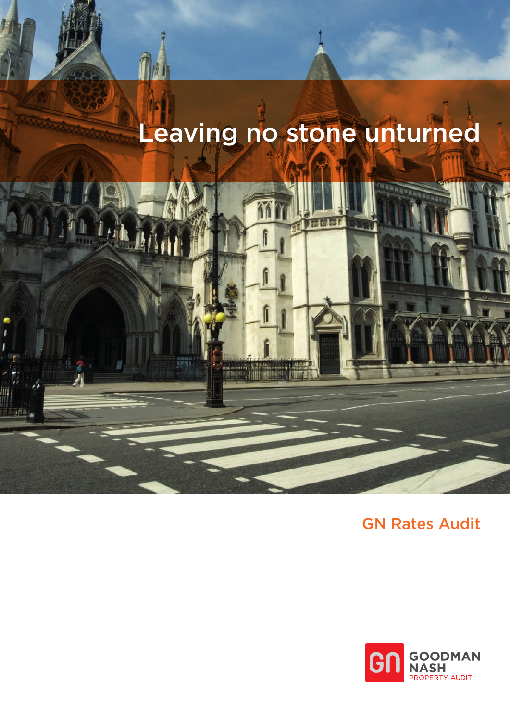# Leaving no stone unturned



GN Rates Audit

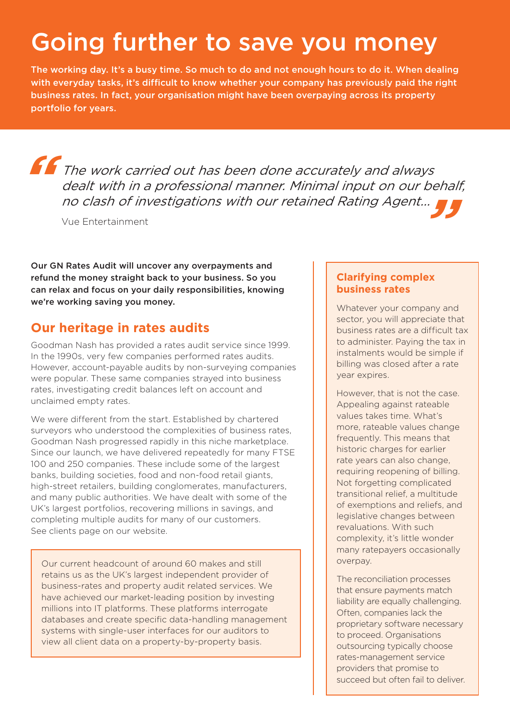## Going further to save you money

The working day. It's a busy time. So much to do and not enough hours to do it. When dealing with everyday tasks, it's difficult to know whether your company has previously paid the right business rates. In fact, your organisation might have been overpaying across its property portfolio for years.

**f** The work carried out has been done accurately and always dealt with in a professional manner. Minimal input on our behalf, **"** no clash of investigations with our retained Rating Agent...

Vue Entertainment

Our GN Rates Audit will uncover any overpayments and refund the money straight back to your business. So you can relax and focus on your daily responsibilities, knowing we're working saving you money.

#### **Our heritage in rates audits**

Goodman Nash has provided a rates audit service since 1999. In the 1990s, very few companies performed rates audits. However, account-payable audits by non-surveying companies were popular. These same companies strayed into business rates, investigating credit balances left on account and unclaimed empty rates.

We were different from the start. Established by chartered surveyors who understood the complexities of business rates, Goodman Nash progressed rapidly in this niche marketplace. Since our launch, we have delivered repeatedly for many FTSE 100 and 250 companies. These include some of the largest banks, building societies, food and non-food retail giants, high-street retailers, building conglomerates, manufacturers, and many public authorities. We have dealt with some of the UK's largest portfolios, recovering millions in savings, and completing multiple audits for many of our customers. See clients page on our website.

Our current headcount of around 60 makes and still retains us as the UK's largest independent provider of business-rates and property audit related services. We have achieved our market-leading position by investing millions into IT platforms. These platforms interrogate databases and create specific data-handling management systems with single-user interfaces for our auditors to view all client data on a property-by-property basis.

#### **Clarifying complex business rates**

Whatever your company and sector, you will appreciate that business rates are a difficult tax to administer. Paying the tax in instalments would be simple if billing was closed after a rate year expires.

However, that is not the case. Appealing against rateable values takes time. What's more, rateable values change frequently. This means that historic charges for earlier rate years can also change, requiring reopening of billing. Not forgetting complicated transitional relief, a multitude of exemptions and reliefs, and legislative changes between revaluations. With such complexity, it's little wonder many ratepayers occasionally overpay.

The reconciliation processes that ensure payments match liability are equally challenging. Often, companies lack the proprietary software necessary to proceed. Organisations outsourcing typically choose rates-management service providers that promise to succeed but often fail to deliver.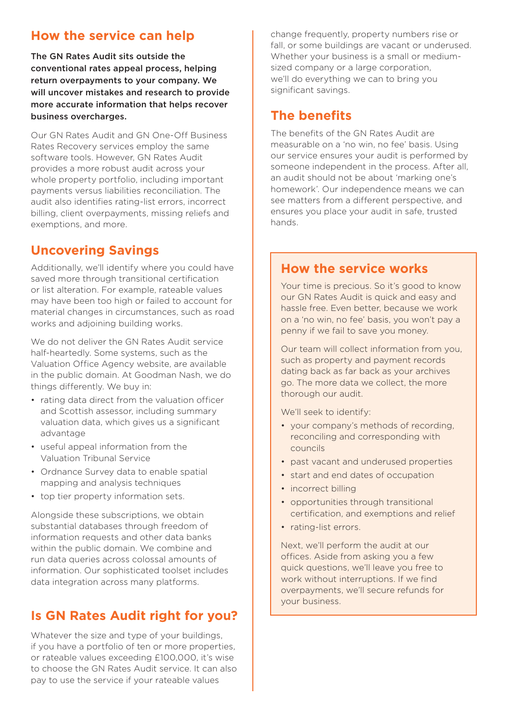#### **How the service can help**

The GN Rates Audit sits outside the conventional rates appeal process, helping return overpayments to your company. We will uncover mistakes and research to provide more accurate information that helps recover business overcharges.

Our GN Rates Audit and GN One-Off Business Rates Recovery services employ the same software tools. However, GN Rates Audit provides a more robust audit across your whole property portfolio, including important payments versus liabilities reconciliation. The audit also identifies rating-list errors, incorrect billing, client overpayments, missing reliefs and exemptions, and more.

#### **Uncovering Savings**

Additionally, we'll identify where you could have saved more through transitional certification or list alteration. For example, rateable values may have been too high or failed to account for material changes in circumstances, such as road works and adjoining building works.

We do not deliver the GN Rates Audit service half-heartedly. Some systems, such as the Valuation Office Agency website, are available in the public domain. At Goodman Nash, we do things differently. We buy in:

- rating data direct from the valuation officer and Scottish assessor, including summary valuation data, which gives us a significant advantage
- useful appeal information from the Valuation Tribunal Service
- Ordnance Survey data to enable spatial mapping and analysis techniques
- top tier property information sets.

Alongside these subscriptions, we obtain substantial databases through freedom of information requests and other data banks within the public domain. We combine and run data queries across colossal amounts of information. Our sophisticated toolset includes data integration across many platforms.

#### **Is GN Rates Audit right for you?**

Whatever the size and type of your buildings, if you have a portfolio of ten or more properties, or rateable values exceeding £100,000, it's wise to choose the GN Rates Audit service. It can also pay to use the service if your rateable values

change frequently, property numbers rise or fall, or some buildings are vacant or underused. Whether your business is a small or mediumsized company or a large corporation, we'll do everything we can to bring you significant savings.

#### **The benefits**

The benefits of the GN Rates Audit are measurable on a 'no win, no fee' basis. Using our service ensures your audit is performed by someone independent in the process. After all, an audit should not be about 'marking one's homework'. Our independence means we can see matters from a different perspective, and ensures you place your audit in safe, trusted hands.

#### **How the service works**

Your time is precious. So it's good to know our GN Rates Audit is quick and easy and hassle free. Even better, because we work on a 'no win, no fee' basis, you won't pay a penny if we fail to save you money.

Our team will collect information from you, such as property and payment records dating back as far back as your archives go. The more data we collect, the more thorough our audit.

We'll seek to identify:

- your company's methods of recording, reconciling and corresponding with councils
- past vacant and underused properties
- start and end dates of occupation
- incorrect billing
- opportunities through transitional certification, and exemptions and relief
- rating-list errors.

Next, we'll perform the audit at our offices. Aside from asking you a few quick questions, we'll leave you free to work without interruptions. If we find overpayments, we'll secure refunds for your business.